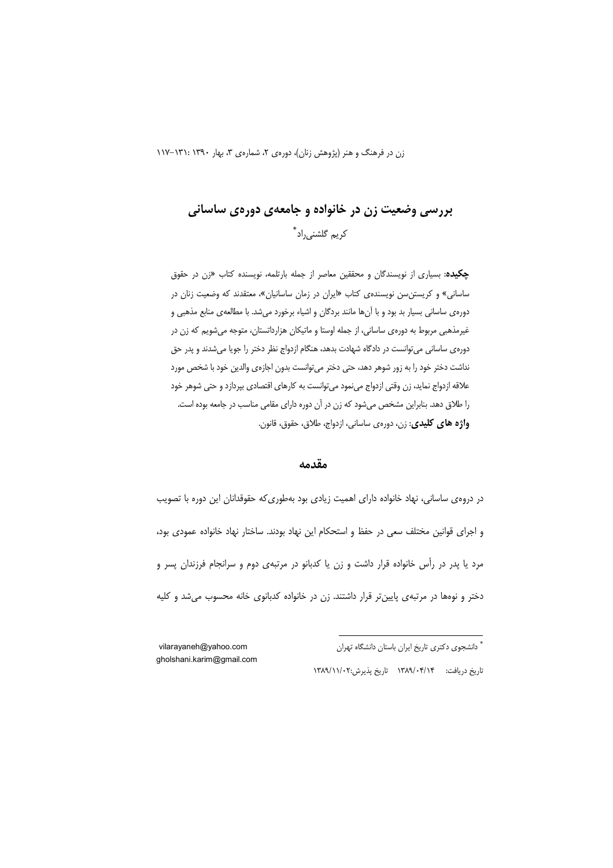# بررسي وضعيت زن در خانواده و جامعهي دورهي ساساني کر یہ گلشنے ,راد ؓ

**چکیده**: بسیاری از نویسندگان و محققین معاصر از جمله بارتلمه، نویسنده کتاب «زن در حقوق ساسانی» و کریستن سن نویسندهی کتاب «ایران در زمان ساسانیان»، معتقدند که وضعیت زنان در دورهي ساساني بسيار بد بود و با آنها مانند بردگان و اشياء برخورد مي شد. با مطالعهي منابع مذهبي و غیرمذهبی مربوط به دورهی ساسانی، از جمله اوستا و ماتیکان هزارداتستان، متوجه میشویم که زن در دورهی ساسانی می توانست در دادگاه شهادت بدهد، هنگام ازدواج نظر دختر را جویا می شدند و پدر حق نداشت دختر خود را به زور شوهر دهد، حتی دختر می توانست بدون اجازهی والدین خود با شخص مورد علاقه ازدواج نماید، زن وقتی ازدواج مینمود میتوانست به کارهای اقتصادی بپردازد و حتی شوهر خود را طلاق دهد. بنابراین مشخص میشود که زن در آن دوره دارای مقامی مناسب در جامعه بوده است. واژه های کلیدی: زن، دورهی ساسانی، ازدواج، طلاق، حقوق، قانون.

#### مقدمه

در دروهی ساسانی، نهاد خانواده دارای اهمیت زیادی بود بهطوری که حقوقدانان این دوره با تصویب و اجرای قوانین مختلف سعی در حفظ و استحکام این نهاد بودند. ساختار نهاد خانواده عمودی بود، مرد یا پدر در رأس خانواده قرار داشت و زن یا کدبانو در مرتبهی دوم و سرانجام فرزندان پسر و دختر و نوهها در مرتبهى پايينتر قرار داشتند. زن در خانواده كدبانوى خانه محسوب مى شد و كليه

> \* دانشجوی دکتری تاریخ ایران باستان دانشگاه تهران تاريخ دريافت: ١٣٨٩/٠۴/١۴ تاريخ پذيرش:١٣٨٩/١١/٠٢

vilarayaneh@yahoo.com gholshani.karim@gmail.com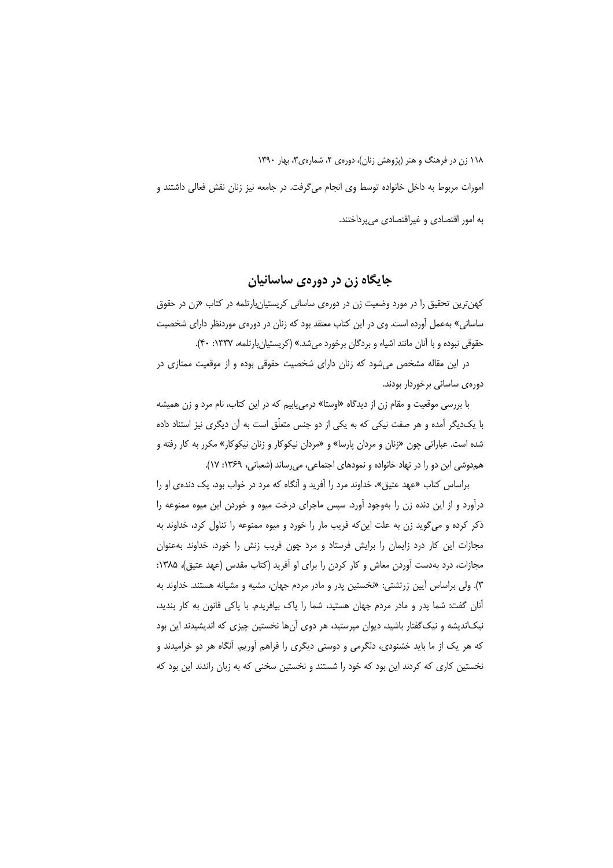امورات مربوط به داخل خانواده توسط وی انجام می گرفت. در جامعه نیز زنان نقش فعالی داشتند و به امور اقتصادی و غیراقتصادی می پرداختند.

جايگاه زن در دورهي ساسانيان

کهن ترین تحقیق را در مورد وضعیت زن در دورهی ساسانی کریستیان بارتلمه در کتاب «زن در حقوق ساسانی» بهعمل آورده است. وی در این کتاب معتقد بود که زنان در دورهی موردنظر دارای شخصیت حقوقي نبوده و با آنان مانند اشياء و بردگان برخورد مي شد.» (كريستيان بارتلمه، ١٣٣٧: ۴٠).

در این مقاله مشخص می شود که زنان دارای شخصیت حقوقی بوده و از موقعیت ممتازی در دورەي ساسانى برخوردار بودند.

با بررسی موقعیت و مقام زن از دیدگاه «اوستا» درمی یابیم که در این کتاب، نام مرد و زن همیشه با یکدیگر آمده و هر صفت نیکی که به یکی از دو جنس متعلّق است به آن دیگری نیز استناد داده شده است. عباراتی چون «زنان و مردان پارسا» و «مردان نیکوکار و زنان نیکوکار» مکرر به کار رفته و هم دوشی این دو را در نهاد خانواده و نمودهای اجتماعی، می رساند (شعبانی، ۱۳۶۹: ۱۷).

براساس کتاب «عهد عتیق»، خداوند مرد را آفرید و آنگاه که مرد در خواب بود، یک دندهی او را درآورد و از این دنده زن را بهوجود آورد. سپس ماجرای درخت میوه و خوردن این میوه ممنوعه را ذکر کرده و می گوید زن به علت این که فریب مار را خورد و میوه ممنوعه را تناول کرد، خداوند به مجازات این کار درد زایمان را برایش فرستاد و مرد چون فریب زنش را خورد، خداوند به عنوان مجازات، درد بهدست آوردن معاش و کار کردن را برای او آفرید (کتاب مقدس (عهد عتیق)، ۱۳۸۵: ۳). ولی براساس آیین زرتشتی: «نخستین پدر و مادر مردم جهان، مشیه و مشیانه هستند. خداوند به آنان گفت: شما یدر و مادر مردم جهان هستید، شما را یاک بیافریدم. با یاکی قانون به کار بندید، نیکاندیشه و نیک گفتار باشید، دیوان میرستید، هر دوی آنها نخستین چیزی که اندیشیدند این بود که هر یک از ما باید خشنودی، دلگرمی و دوستی دیگری را فراهم آوریم. آنگاه هر دو خرامیدند و نخستین کاری که کردند این بود که خود را شستند و نخستین سخنی که به زبان راندند این بود که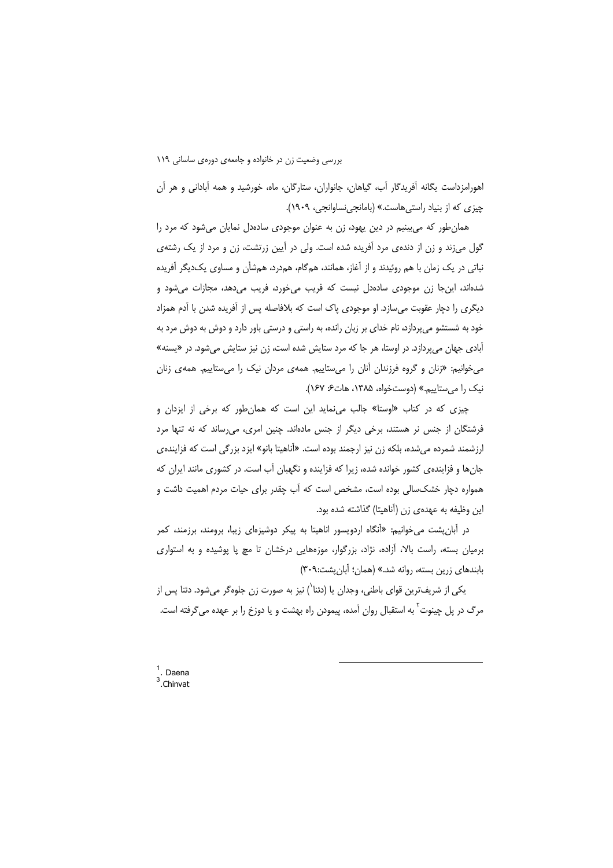اهورامزداست یگانه آفریدگار آب، گیاهان، جانواران، ستارگان، ماه، خورشید و همه آبادانی و هر آن چیزی که از بنیاد راستی هاست.» (بامانجی نساوانجی، ۱۹۰۹).

همان طور که می بینیم در دین یهود، زن به عنوان موجودی سادهدل نمایان می شود که مرد را گول می;ند و زن از دندهی مرد آفریده شده است. ولی در آیین زرتشت، زن و مرد از یک رشتهی نباتی در یک زمان با هم روئیدند و از آغاز، همانند، همگام، همدرد، همشأن و مساوی یکدیگر آفریده شدهاند، این جا زن موجودی سادهدل نیست که فریب می خورد، فریب می دهد، مجازات می شود و دیگری را دچار عقوبت میسازد. او موجودی پاک است که بلافاصله پس از آفریده شدن با آدم همزاد خود به شستشو میپردازد، نام خدای بر زبان رانده، به راستی و درستی باور دارد و دوش به دوش مرد به آبادی جهان می پردازد. در اوستا، هر جا که مرد ستایش شده است، زن نیز ستایش می شود. در «یسنه» می خوانیم: «زنان و گروه فرزندان آنان را می ستاییم. همه ی مردان نیک را می ستاییم. همه ی زنان نیک را می ستاییم.» (دوستخواه، ۱۳۸۵، هات ۶۶ /۱۶۲).

چیزی که در کتاب «اوستا» جالب می نماید این است که همان طور که برخی از ایزدان و فرشتگان از جنس نر هستند، برخی دیگر از جنس مادهاند. چنین امری، می رساند که نه تنها مرد ارزشمند شمرده میشده، بلکه زن نیز ارجمند بوده است. «آناهیتا بانو» ایزد بزرگی است که فزاینده ی جانها و فزایندهی کشور خوانده شده، زیرا که فزاینده و نگهبان آب است. در کشوری مانند ایران که همواره دچار خشکسالی بوده است، مشخص است که آب چقدر برای حیات مردم اهمیت داشت و این وظیفه به عهدهی زن (آناهیتا) گذاشته شده بود.

در آبانپشت میخوانیم: «آنگاه اردویسور اناهیتا به پیکر دوشیزهای زیبا، برومند، برزمند، کمر برمیان بسته، راست بالا، آزاده، نژاد، بزرگوار، موزههایی درخشان تا مچ پا پوشیده و به استواری بابندهای زرین بسته، روانه شد.» (همان؛ آبان پشت:۳۰۹)

یکی از شریفترین قوای باطنی، وجدان یا (دئنا`) نیز به صورت زن جلوهگر میشود. دئنا پس از مرگ در پل چینوت<sup>۲</sup> به استقبال روان آمده، پیمودن راه بهشت و یا دوزخ را بر عهده میگرفته است.

<sup>&</sup>lt;sup>1</sup>. Daena<br><sup>3</sup>. Chinvat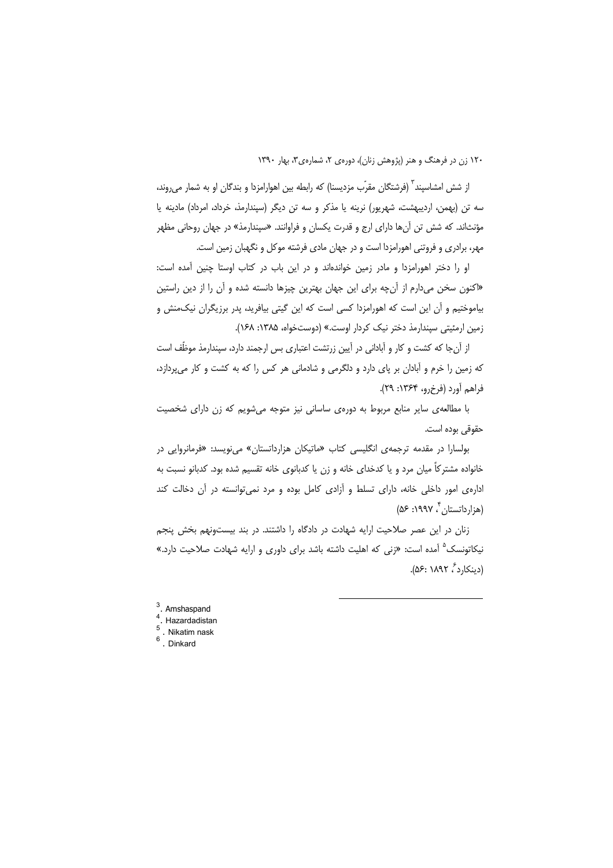از شش امشاسیند ؓ (فرشتگان مقرّب مزدیسنا) که رابطه بین اهوارامزدا و بندگان او به شمار میروند، سه تن (بهمن، اردیبهشت، شهریور) نرینه یا مذکر و سه تن دیگر (سپندارمذ، خرداد، امرداد) مادینه یا مؤنثاند. که شش تن آنها دارای ارج و قدرت یکسان و فراوانند. «سیندارمذ» در جهان روحانی مظهر مهر، برادری و فروتنی اهورامزدا است و در جهان مادی فرشته موکل و نگهبان زمین است.

او را دختر اهورامزدا و مادر زمین خواندهاند و در این باب در کتاب اوستا چنین آمده است: «اکنون سخن میدارم از آنچه برای این جهان بهترین چیزها دانسته شده و آن را از دین راستین بیاموختیم و آن این است که اهورامزدا کسی است که این گیتی بیافرید، پدر برزیگران نیکمنش و زمین ارمئیتی سیندارمذ دختر نیک کردار اوست.» (دوستخواه، ۱۳۸۵: ۱۶۸).

از آن جا که کشت و کار و آبادانی در آیین زرتشت اعتباری بس ارجمند دارد، سیندارمذ موظِّف است که زمین را خرم و آبادان بر پای دارد و دلگرمی و شادمانی هر کس را که به کشت و کار می پردازد، فراهم أورد (فرخ رو، ۱۳۶۴: ۲۹).

با مطالعهی سایر منابع مربوط به دورهی ساسانی نیز متوجه میشویم که زن دارای شخصیت حقوقی بوده است.

بولسارا در مقدمه ترجمهی انگلیسی کتاب «ماتیکان هزارداتستان» می نویسد: «فرمانروایی در خانواده مشترکاً میان مرد و یا کدخدای خانه و زن یا کدبانوی خانه تقسیم شده بود. کدبانو نسبت به ادارهی امور داخلی خانه، دارای تسلط و آزادی کامل بوده و مرد نمی توانسته در آن دخالت کند (هزار داتستان به ۱۹۹۷: ۵۶)

زنان در این عصر صلاحیت ارایه شهادت در دادگاه را داشتند. در بند بیستونهم بخش پنجم نیکاتونسک<sup>۵</sup> آمده است: «زنی که اهلیت داشته باشد برای داوری و ارایه شهادت صلاحیت دارد.» (دینکارد ، ۱۸۹۲ :۵۶).

- $\int_{4}^{3}$ . Amshaspand
- $\frac{4}{5}$ . Hazardadistan
- $\frac{5}{6}$ . Nikatim nask<br>6. Dinkard
-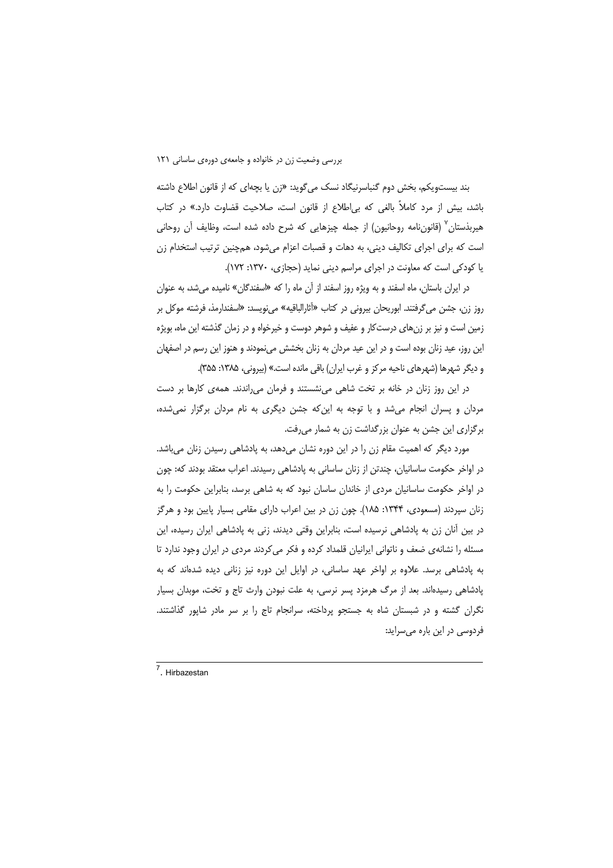بند بیستویکم، بخش دوم گنباسرنیگاد نسک می6وید: «زن یا بچهای که از قانون اطلاع داشته باشد، بیش از مرد کاملاً بالغی که بی اطلاع از قانون است، صلاحیت قضاوت دارد.» در کتاب هیربذستان" (قانوننامه روحانیون) از جمله چیزهایی که شرح داده شده است، وظایف آن روحانی است که برای اجرای تکالیف دینی، به دهات و قصبات اعزام میشود، همچنین ترتیب استخدام زن یا کودکی است که معاونت در اجرای مراسم دینی نماید (حجازی، ۱۳۷۰: ۱۷۲).

در ایران باستان، ماه اسفند و به ویژه روز اسفند از آن ماه را که «اسفندگان» نامیده می شد، به عنوان روز زن، جشن میگرفتند. ابوریحان بیرونی در کتاب «آثارالباقیه» مینویسد: «اسفندارمذ، فرشته موکل بر زمین است و نیز بر زنهای درستکار و عفیف و شوهر دوست و خیرخواه و در زمان گذشته این ماه، بویژه این روز، عید زنان بوده است و در این عید مردان به زنان بخشش مینمودند و هنوز این رسم در اصفهان و دیگر شهرها (شهرهای ناحیه مرکز و غرب ایران) باقی مانده است.» (بیرونی، ۱۳۸۵: ۳۵۵).

در این روز زنان در خانه بر تخت شاهی می نشستند و فرمان می راندند. همه ی کارها بر دست مردان و پسران انجام میشد و با توجه به اینکه جشن دیگری به نام مردان برگزار نمیشده، برگزاری این جشن به عنوان بزرگداشت زن به شمار میرفت.

مورد دیگر که اهمیت مقام زن را در این دوره نشان میدهد، به پادشاهی رسیدن زنان میباشد. در اواخر حکومت ساسانیان، چندتن از زنان ساسانی به پادشاهی رسیدند. اعراب معتقد بودند که: چون در اواخر حکومت ساسانیان مردی از خاندان ساسان نبود که به شاهی برسد، بنابراین حکومت را به زنان سپردند (مسعودی، ۱۳۴۴: ۱۸۵). چون زن در بین اعراب دارای مقامی بسیار پایین بود و هرگز در بین آنان زن به پادشاهی نرسیده است، بنابراین وقتی دیدند، زنی به پادشاهی ایران رسیده، این مسئله را نشانهی ضعف و ناتوانی ایرانیان قلمداد کرده و فکر می کردند مردی در ایران وجود ندارد تا به پادشاهی برسد. علاوه بر اواخر عهد ساسانی، در اوایل این دوره نیز زنانی دیده شدهاند که به پادشاهی رسیدهاند. بعد از مرگ هرمزد پسر نرسی، به علت نبودن وارث تاج و تخت، موبدان بسیار نگران گشته و در شبستان شاه به جستجو پرداخته، سرانجام تاج را بر سر مادر شاپور گذاشتند. فردوسی در این باره میسراید:

7 Hirbazestan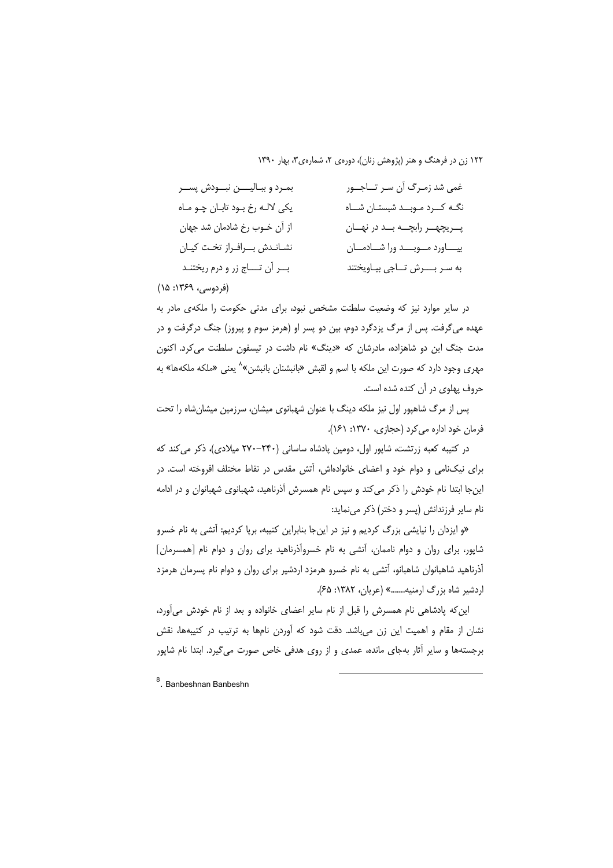| بمرد وبباليـــن نبــودش پســر     | غمي شد زمـرگ أن سـر تــاجــور        |
|-----------------------------------|--------------------------------------|
| یکی لالـه رخ بـود تابـان چـو مـاه | نگه کــرد مـوبــد شبستـان شــاه      |
| از آن خـوب رخ شادمان شد جهان      | پــريچهــر رابچـــه بـــد در نهـــان |
| نشاندش بوافراز تخت كيان           | بياورد موبد ورا شادمان               |
| بــر أن تــــاج زر و درم ريختنـد  | به سر بورش تاجي بياويختند            |
|                                   |                                      |

(فردوسی، ۱۳۶۹: ۱۵)

در سایر موارد نیز که وضعیت سلطنت مشخص نبود، برای مدتی حکومت را ملکهی مادر به عهده می¢فت. پس از مرگ یزدگرد دوم، بین دو پسر او (هرمز سوم و پیروز) جنگ درگرفت و در مدت جنگ این دو شاهزاده، مادرشان که «دینگ» نام داشت در تیسفون سلطنت می کرد. اکنون مهری وجود دارد که صورت این ملکه با اسم و لقبش «بانبشنان بانبشن»<sup>۸</sup> یعنی «ملکه ملکهها» به حروف یهلوی در آن کنده شده است.

پس از مرگ شاهپور اول نیز ملکه دینگ با عنوان شهبانوی میشان، سرزمین میشانشاه را تحت فرمان خود اداره می کرد (حجازی، ۱۳۷۰: ۱۶۱).

در کتیبه کعبه زرتشت، شاپور اول، دومین پادشاه ساسانی (۲۴۰–۲۷۰ میلادی)، ذکر میکند که برای نیکنامی و دوام خود و اعضای خانوادهاش، آتش مقدس در نقاط مختلف افروخته است. در اینجا ابتدا نام خودش را ذکر میکند و سپس نام همسرش آذرناهید، شهبانوی شهبانوان و در ادامه نام سایر فرزندانش (پسر و دختر) ذکر مینماید:

«و ایزدان را نیایشی بزرگ کردیم و نیز در اینجا بنابراین کتیبه، برپا کردیم: آتشی به نام خسرو شاپور، برای روان و دوام ناممان، آتشی به نام خسروآذرناهید برای روان و دوام نام [همسرمان] آذرناهید شاهبانوان شاهبانو، آتشی به نام خسرو هرمزد اردشیر برای روان و دوام نام پسرمان هرمزد اردشیر شاه بزرگ ارمنیه........» (عریان، ۱۳۸۲: ۶۵).

این که پادشاهی نام همسرش را قبل از نام سایر اعضای خانواده و بعد از نام خودش می آورد، نشان از مقام و اهمیت این زن میباشد. دقت شود که آوردن نامها به ترتیب در کتیبهها، نقش برجستهها و سایر آثار بهجای مانده، عمدی و از روی هدفی خاص صورت می گیرد. ابتدا نام شاپور

<sup>8</sup>. Banbeshnan Banbeshn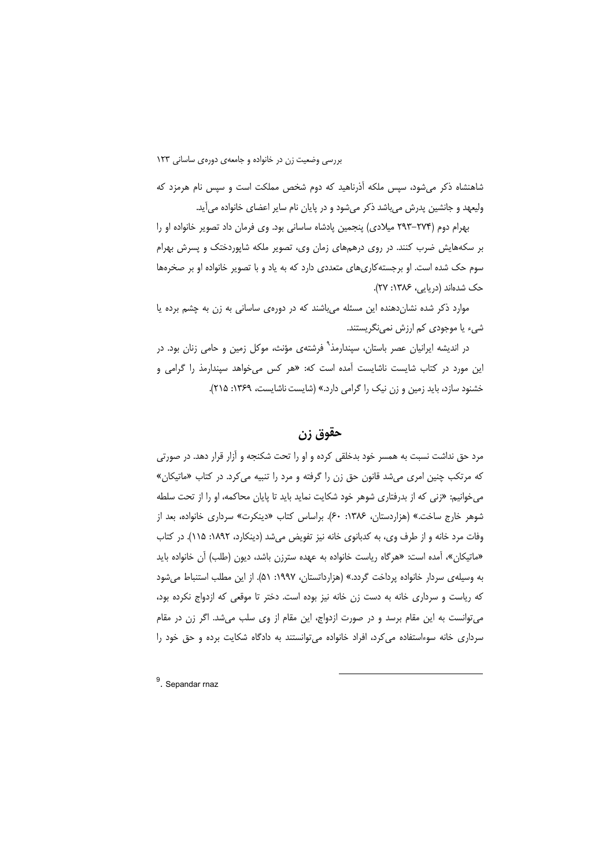شاهنشاه ذکر می شود، سپس ملکه آذرناهید که دوم شخص مملکت است و سپس نام هرمزد که ولیعهد و جانشین پدرش میباشد ذکر میشود و در پایان نام سایر اعضای خانواده میآید.

بهرام دوم (۲۷۴–۲۹۳ میلادی) پنجمین پادشاه ساسانی بود. وی فرمان داد تصویر خانواده او را بر سکههایش ضرب کنند. در روی درهمهای زمان وی، تصویر ملکه شاپوردختک و پسرش بهرام سوم حک شده است. او برجسته کاری های متعددی دارد که به یاد و با تصویر خانواده او بر صخرهها حک شدهاند (دریایی، ۱۳۸۶: ۲۷).

موارد ذکر شده نشان دهنده این مسئله میباشند که در دورهی ساسانی به زن به چشم برده یا شیء یا موجودی کم ارزش نمینگریستند.

در اندیشه ایرانیان عصر باستان، سپندارمذ<sup>۹</sup> فرشتهی مؤنث، موکل زمین و حامی زنان بود. در این مورد در کتاب شایست ناشایست آمده است که: «هر کس می خواهد سیندارمذ را گرامی و خشنود سازد، باید زمین و زن نیک را گرامی دارد.» (شایست ناشایست، ۱۳۶۹: ۲۱۵).

## حقوق زن

مرد حق نداشت نسبت به همسر خود بدخلقی کرده و او را تحت شکنجه و آزار قرار دهد. در صورتی که مرتکب چنین امری میشد قانون حق زن را گرفته و مرد را تنبیه میکرد. در کتاب «ماتیکان» می خوانیم: «زنی که از بدرفتاری شوهر خود شکایت نماید باید تا پایان محاکمه، او را از تحت سلطه شوهر خارج ساخت.» (هزاردستان، ۱۳۸۶: ۶۰). براساس كتاب «دينكرت» سرداري خانواده، بعد از وفات مرد خانه و از طرف وي، به كدبانوي خانه نيز تفويض مي شد (دينكارد، ١٨٩٢: ١١۵). در كتاب «ماتيكان»، آمده است: «هرگاه رياست خانواده به عهده سترزن باشد، ديون (طلب) آن خانواده بايد به وسیلهی سردار خانواده پرداخت گردد.» (هزارداتستان، ۱۹۹۷: ۵۱). از این مطلب استنباط می شود که ریاست و سرداری خانه به دست زن خانه نیز بوده است. دختر تا موقعی که ازدواج نکرده بود، می توانست به این مقام برسد و در صورت ازدواج، این مقام از وی سلب میشد. اگر زن در مقام سرداری خانه سوءاستفاده می کرد، افراد خانواده می توانستند به دادگاه شکایت برده و حق خود را

 $9.$  Sepandar rnaz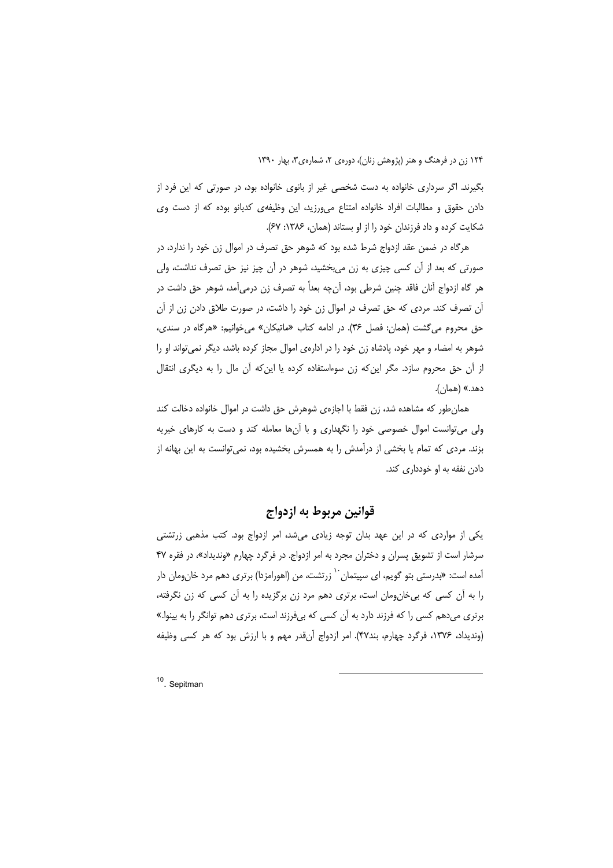بگیرند. اگر سرداری خانواده به دست شخصی غیر از بانوی خانواده بود، در صورتی که این فرد از دادن حقوق و مطالبات افراد خانواده امتناع می ورزید، این وظیفهی کدبانو بوده که از دست وی شکایت کرده و داد فرزندان خود را از او بستاند (همان، ۱۳۸۶: ۶۷).

هرگاه در ضمن عقد ازدواج شرط شده بود که شوهر حق تصرف در اموال زن خود را ندارد، در صورتی که بعد از آن کسی چیزی به زن می,بخشید، شوهر در آن چیز نیز حق تصرف نداشت، ولی هر گاه ازدواج آنان فاقد چنین شرطی بود، آنچه بعداً به تصرف زن درمیآمد، شوهر حق داشت در آن تصرف کند. مردی که حق تصرف در اموال زن خود را داشت، در صورت طلاق دادن زن از آن حق محروم می گشت (همان: فصل ٣۶). در ادامه كتاب «ماتيكان» می خوانيم: «هرگاه در سندی، شوهر به امضاء و مهر خود، یادشاه زن خود را در اداره ی اموال مجاز کرده باشد، دیگر نمی تواند او را از آن حق محروم سازد. مگر این که زن سوءاستفاده کرده یا این که آن مال را به دیگری انتقال دهد.» (همان).

همان طور که مشاهده شد، زن فقط با اجازهی شوهرش حق داشت در اموال خانواده دخالت کند ولی می توانست اموال خصوصی خود را نگهداری و با آنها معامله کند و دست به کارهای خیریه بزند. مردی که تمام یا بخشی از درآمدش را به همسرش بخشیده بود، نمیتوانست به این بهانه از دادن نفقه به او خودداری کند.

### قوانين مربوط به ازدواج

یکی از مواردی که در این عهد بدان توجه زیادی میشد، امر ازدواج بود. کتب مذهبی زرتشتی سرشار است از تشویق پسران و دختران مجرد به امر ازدواج. در فرگرد چهارم «وندیداد»، در فقره ۴۷ آمده است: «بدرستی بتو گویم، ای سپیتمان `` زرتشت، من (اهورامزدا) برتری دهم مرد خان,ومان دار را به آن کسی که بی خان ومان است، برتری دهم مرد زن برگزیده را به آن کسی که زن نگرفته، برتری مے دھم کسی را که فرزند دارد به آن کسی که بے فرزند اس*ت،* برتری دھم توانگر را به بینوا.» (ونديداد، ١٣٧۶، فرگرد چهارم، بند٣٧). امر ازدواج آنقدر مهم و با ارزش بود كه هر كسي وظيفه

<sup>10</sup> Sepitman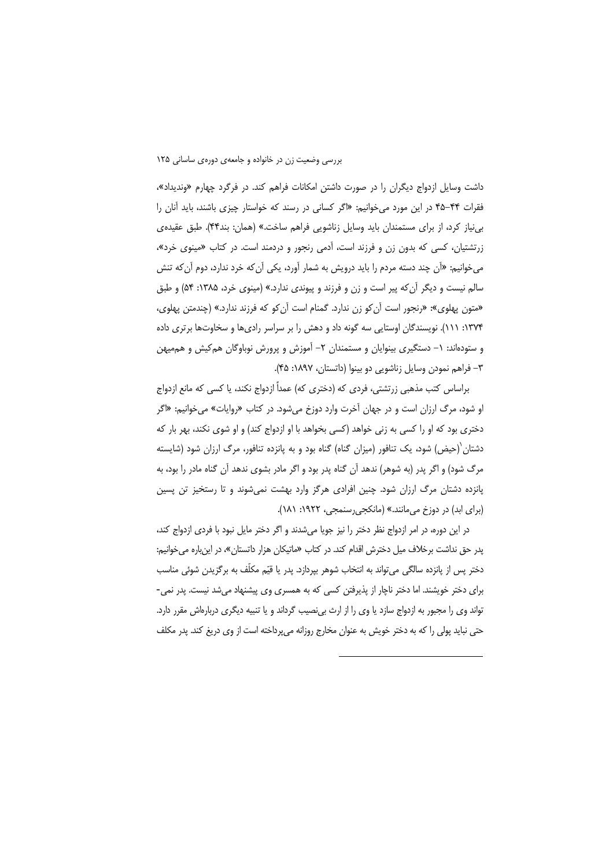داشت وسایل ازدواج دیگران را در صورت داشتن امکانات فراهم کند. در فرگرد چهارم «وندیداد»، فقرات ۴۴–۴۵ در این مورد میخوانیم: «اگر کسانی در رسند که خواستار چیزی باشند، باید آنان را بی نیاز کرد، از برای مستمندان باید وسایل زناشویی فراهم ساخت.» (همان: بند۴۴). طبق عقیده ی زرتشتیان، کسی که بدون زن و فرزند است، آدمی رنجور و دردمند است. در کتاب «مینوی خرد»، می خوانیم: «آن چند دسته مردم را باید درویش به شمار آورد، یکی آن *ک*ه خرد ندارد، دوم آن *ک*ه تنش سالم نیست و دیگر آن که پیر است و زن و فرزند و پیوندی ندارد.» (مینوی خرد، ۱۳۸۵: ۵۴) و طبق «متون پهلوی»: «رنجور است آن کو زن ندارد. گمنام است آن کو که فرزند ندارد.» (چندمتن پهلوی، ۱۳۷۴: ۱۱۱). نویسندگان اوستایی سه گونه داد و دهش را بر سراسر رادیها و سخاوتها برتری داده و ستودهاند: ١– دستگیری بینوایان و مستمندان ٢– آموزش و پرورش نوباوگان هم کیش و هم میهن ٣– فراهم نمودن وسایل زناشویی دو بینوا (داتستان، ١٨٩٧: ۴۵).

براساس كتب مذهبي زرتشتي، فردي كه (دختري كه) عمداً ازدواج نكند، يا كسي كه مانع ازدواج او شود، مرگ ارزان است و در جهان آخرت وارد دوزخ میشود. در کتاب «روایات» میخوانیم: «اگر دختری بود که او را کسی به زنی خواهد (کسی بخواهد با او ازدواج کند) و او شوی نکند، بهر بار که دشتان ٰ(حیض) شود، یک تنافور (میزان گناه) گناه بود و به پانزده تنافور، مرگ ارزان شود (شایسته مرگ شود) و اگر پدر (به شوهر) ندهد آن گناه پدر بود و اگر مادر بشوی ندهد آن گناه مادر را بود، به پانزده دشتان مرگ ارزان شود. چنین افرادی هرگز وارد بهشت نمیشوند و تا رستخیز تن پسین (برای ابد) در دوزخ می مانند.» (مانکجی رسنمجی، ۱۹۲۲: ۱۸۱).

در این دوره، در امر ازدواج نظر دختر را نیز جویا میشدند و اگر دختر مایل نبود با فردی ازدواج کند، پدر حق نداشت برخلاف میل دخترش اقدام کند. در کتاب «ماتیکان هزار داتستان»، در اینباره میخوانیم: دختر پس از پانزده سالگی می تواند به انتخاب شوهر بیردازد. پدر یا قیّم مکلّف به برگزیدن شوئی مناسب برای دختر خویشند. اما دختر ناچار از پذیرفتن کسی که به همسری وی پیشنهاد میشد نیست. پدر نمی-تواند وی را مجبور به ازدواج سازد یا وی را از ارث بینصیب گرداند و یا تنبیه دیگری دربارهاش مقرر دارد. حتی نباید پولی را که به دختر خویش به عنوان مخارج روزانه میپرداخته است از وی دریغ کند. پدر مکلف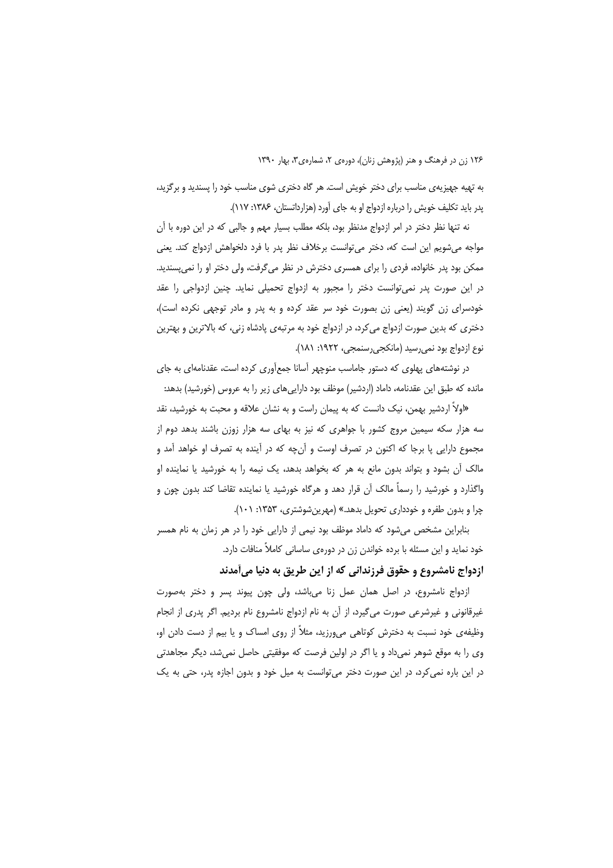به تهیه جهیزیهی مناسب برای دختر خویش است. هر گاه دختری شوی مناسب خود را پسندید و برگزید، پدر باید تکلیف خویش را درباره ازدواج او به جای آورد (هزارداتستان، ۱۳۸۶: ۱۱۷).

نه تنها نظر دختر در امر ازدواج مدنظر بود، بلکه مطلب بسیار مهم و جالبی که در این دوره با آن مواجه می شویم این است که، دختر می توانست برخلاف نظر پدر با فرد دلخواهش ازدواج کند. یعنی ممکن بود پدر خانواده، فردی را برای همسری دخترش در نظر می گرفت، ولی دختر او را نمی پسندید. در این صورت پدر نمی توانست دختر را مجبور به ازدواج تحمیلی نماید. چنین ازدواجی را عقد خودسرای زن گویند (یعنی زن بصورت خود سر عقد کرده و به پدر و مادر توجهی نکرده است)، دختری که بدین صورت ازدواج می کرد، در ازدواج خود به مرتبهی پادشاه زنی، که بالاترین و بهترین نوع ازدواج بود نمي رسيد (مانكجي رسنمجي، ١٩٢٢: ١٨١).

در نوشتههای پهلوی که دستور جاماسب منوچهر آسانا جمعآوری کرده است، عقدنامهای به جای مانده که طبق این عقدنامه، داماد (اردشیر) موظف بود داراییهای زیر را به عروس (خورشید) بدهد:

«اولاً اردشیر بهمن، نیک دانست که به پیمان راست و به نشان علاقه و محبت به خورشید، نقد سه هزار سکه سیمین مروج کشور با جواهری که نیز به بهای سه هزار زوزن باشند بدهد دوم از مجموع دارایی پا برجا که اکنون در تصرف اوست و اُن& که در اَینده به تصرف او خواهد اَمد و مالک آن بشود و بتواند بدون مانع به هر که بخواهد بدهد، یک نیمه را به خورشید یا نماینده او واگذارد و خورشید را رسماً مالک آن قرار دهد و هرگاه خورشید یا نماینده تقاضا کند بدون چون و چرا و بدون طفره و خودداری تحویل بدهد.» (مهرینشوشتری، ۱۳۵۳: ۱۰۱).

بنابراین مشخص میشود که داماد موظف بود نیمی از دارایی خود را در هر زمان به نام همسر خود نماید و این مسئله با برده خواندن زن در دورهی ساسانی کاملاً منافات دارد.

#### ازدواج نامشروع و حقوق فرزندانی که از این طریق به دنیا میآمدند

ازدواج نامشروع، در اصل همان عمل زنا میباشد، ولی چون پیوند پسر و دختر بهصورت غیرقانونی و غیرشرعی صورت می€یرد، از آن به نام ازدواج نامشروع نام بردیم. اگر پدری از انجام وظیفهی خود نسبت به دخترش کوتاهی میLورزید، مثلاً از روی امساک و یا بیم از دست دادن او، وی را به موقع شوهر نمیداد و یا اگر در اولین فرصت که موفقیتی حاصل نمیشد، دیگر مجاهدتی در این باره نمی کرد، در این صورت دختر می توانست به میل خود و بدون اجازه پدر، حتی به یک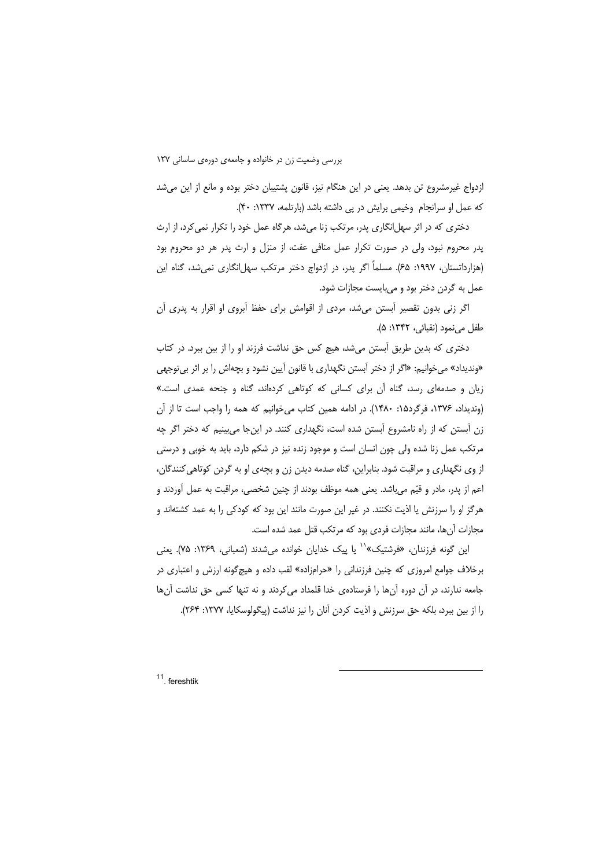ازدواج غیرمشروع تن بدهد. یعنی در این هنگام نیز، قانون پشتیبان دختر بوده و مانع از این می شد كه عمل او سرانجام وخيمي برايش در پي داشته باشد (بارتلمه، ١٣٣٧: ۴٠).

دختری که در اثر سهل!نگاری پدر، مرتکب زنا میشد، هرگاه عمل خود را تکرار نمی کرد، از ارث پدر محروم نبود، ولی در صورت تکرار عمل منافی عفت، از منزل و ارث پدر هر دو محروم بود (هزارداتستان، ۱۹۹۷: ۶۵). مسلماً اگر پدر، در ازدواج دختر مرتکب سهل|نگاری نمی شد، گناه این عمل به گردن دختر بود و می بایست مجازات شود.

اگر زنی بدون تقصیر آبستن میشد، مردی از اقوامش برای حفظ آبروی او اقرار به پدری آن طفل مي نمود (نقبائي، ١٣۴٢: ۵).

دختری که بدین طریق آبستن میشد، هیچ کس حق نداشت فرزند او را از بین ببرد. در کتاب «وندیداد» می خوانیم: «اگر از دختر آبستن نگهداری با قانون آیین نشود و بچهاش را بر اثر بی توجهی زیان و صدمهای رسد، گناه آن برای کسانی که کوتاهی کردهاند، گناه و جنحه عمدی است.» (ونديداد، ١٣٧۶، فرگرد١٥: ١۴٨٠). در ادامه همين كتاب مىخوانيم كه همه را واجب است تا از آن زن آبستن که از راه نامشروع آبستن شده است، نگهداری کنند. در اینجا میبینیم که دختر اگر چه مرتکب عمل زنا شده ولی چون انسان است و موجود زنده نیز در شکم دارد، باید به خوبی و درستی از وی نگهداری و مراقبت شود. بنابراین، گناه صدمه دیدن زن و بچهی او به گردن کوتاهی کنندگان، اعم از پدر، مادر و قیّم میباشد. یعنی همه موظف بودند از چنین شخصی، مراقبت به عمل آوردند و هرگز او را سرزنش یا اذیت نکنند. در غیر این صورت مانند این بود که کودکی را به عمد کشتهاند و مجازات آنها، مانند مجازات فردي بود كه مرتكب قتل عمد شده است.

این گونه فرزندان، «فرشتیک»<sup>۱٬</sup> یا پیک خدایان خوانده میشدند (شعبانی، ۱۳۶۹: ۷۵). یعنی برخلاف جوامع امروزی که چنین فرزندانی را «حرامزاده» لقب داده و هیچ گونه ارزش و اعتباری در جامعه ندارند، در آن دوره آنها را فرستادهی خدا قلمداد میکردند و نه تنها کسی حق نداشت آنها را از بین ببرد، بلکه حق سرزنش و اذیت کردن آنان را نیز نداشت (پیگولوسکایا، ۱۳۷۷: ۲۶۴).

<sup>11</sup> fereshtik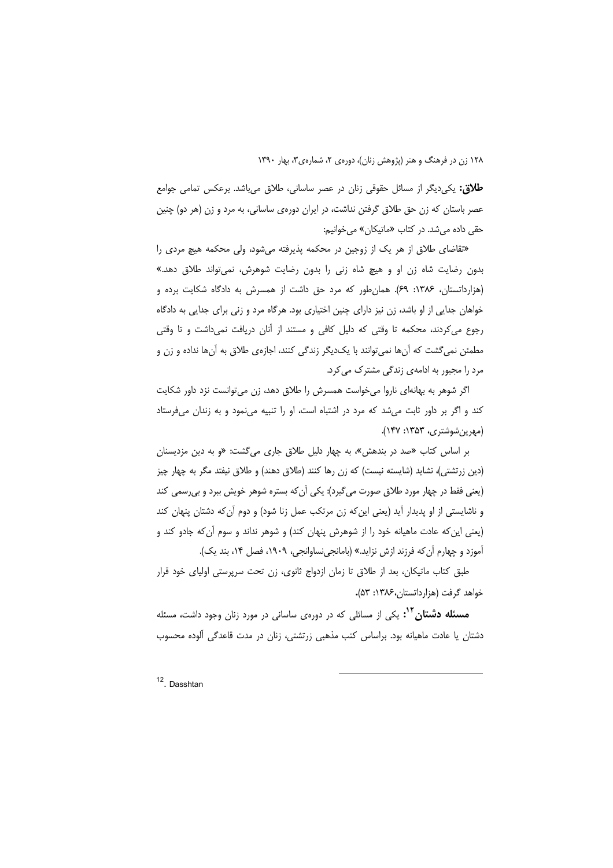**طلاق:** یکی دیگر از مسائل حقوقی زنان در عصر ساسانی، طلاق میباشد. برعکس تمامی جوامع عصر باستان که زن حق طلاق گرفتن نداشت، در ایران دورهی ساسانی، به مرد و زن (هر دو) چنین حقی داده میشد. در کتاب «ماتیکان» میخوانیم:

«تقاضای طلاق از هر یک از زوجین در محکمه پذیرفته میشود، ولی محکمه هیچ مردی را بدون رضایت شاه زن او و هیچ شاه زنی را بدون رضایت شوهرش، نمی تواند طلاق دهد.» (هزارداتستان، ۱۳۸۶: ۶۹). همان طور که مرد حق داشت از همسرش به دادگاه شکایت برده و خواهان جدایی از او باشد، زن نیز دارای چنین اختیاری بود. هرگاه مرد و زنی برای جدایی به دادگاه رجوع می کردند، محکمه تا وقتی که دلیل کافی و مستند از آنان دریافت نمیداشت و تا وقتی مطمئن نمیگشت که آنها نمیتوانند با یکدیگر زندگی کنند، اجازهی طلاق به آنها نداده و زن و مرد را مجبور به ادامهی زندگی مشترک می کرد.

اگر شوهر به بهانهای ناروا میخواست همسرش را طلاق دهد، زن می توانست نزد داور شکایت کند و اگر بر داور ثابت می شد که مرد در اشتباه است، او را تنبیه می نمود و به زندان می فرستاد (مهرين شوشتري، ١٣۵٣: ١۴٧).

بر اساس کتاب «صد در بندهش»، به چهار دلیل طلاق جاری می گشت: «و به دین مزدیسنان (دین زرتشتی)، نشاید (شایسته نیست) که زن رها کنند (طلاق دهند) و طلاق نیفتد مگر به چهار چیز (پعنی فقط در چهار مورد طلاق صورت می گیرد): یکی آن که بستره شوهر خویش ببرد و بی رسمی کند و ناشایستی از او پدیدار آید (یعنی این که زن مرتکب عمل زنا شود) و دوم آن که دشتان پنهان کند (یعنی این که عادت ماهیانه خود را از شوهرش پنهان کند) و شوهر نداند و سوم آن که جادو کند و آموزد و چهارم آن که فرزند ازش نزاید.» (بامانجی نساوانجی، ۱۹۰۹، فصل ۱۴، بند یک).

طبق كتاب ماتيكان، بعد از طلاق تا زمان ازدواج ثانوي، زن تحت سرپرستي اولياي خود قرار خواهد گرفت (هزار داتستان، ۱۳۸۶: ۵۳).

**مسئله دشتان ٌ ٌ :** یکی از مسائلی که در دورهی ساسانی در مورد زنان وجود داشت، مسئله دشتان یا عادت ماهیانه بود. براساس کتب مذهبی زرتشتی، زنان در مدت قاعدگی آلوده محسوب

<sup>12</sup>. Dasshtan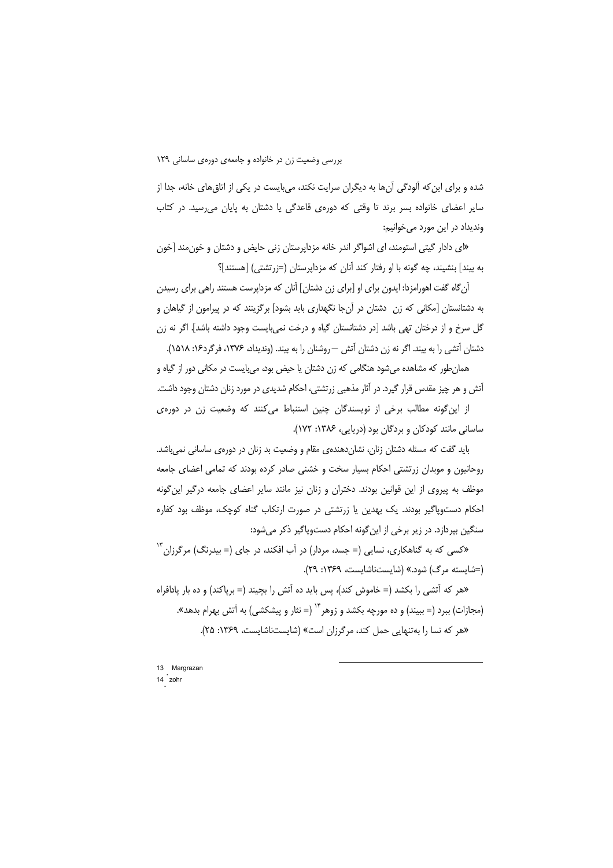شده و برای این که آلودگی آنها به دیگران سرایت نکند، می بایست در یکی از اتاق های خانه، جدا از سایر اعضای خانواده بسر برند تا وقتی که دورهی قاعدگی یا دشتان به پایان می رسید. در کتاب وندیداد در این مورد می خوانیم:

«ای دادار گیتی استومند، ای اشواگر اندر خانه مزدایرستان زنی حایض و دشتان و خون مند [خون به بیند] بنشیند، چه گونه با او رفتار کند آنان که مزداپرستان (=زرتشتی) [هستند]؟

آن گاه گفت اهورامزدا: ایدون برای او [برای زن دشتان] آنان که مزدایرست هستند راهی برای رسیدن به دشتانستان [مکانی که زن ِ دشتان در آنجا نگهداری باید بشود] برگزینند که در پیرامون از گیاهان و گل سرخ و از درختان تهی باشد [در دشتانستان گیاه و درخت نمیبایست وجود داشته باشد]. اگر نه زن دشتان آتشی را به بیند. اگر نه زن دشتان آتش —روشنان را به بیند. (وندیداد، ۱۳۷۶، فرگرد۱۶: ۱۵۱۸).

همان طور که مشاهده میشود هنگامی که زن دشتان یا حیض بود، میبایست در مکانی دور از گیاه و آتش و هر چیز مقدس قرار گیرد. در آثار مذهبی زرتشتی، احکام شدیدی در مورد زنان دشتان وجود داشت.

از این گونه مطالب برخی از نویسندگان چنین استنباط میکنند که وضعیت زن در دورهی ساسانی مانند کودکان و بردگان بود (دریایی، ۱۳۸۶: ۱۷۲).

باید گفت که مسئله دشتان زنان، نشاندهندهی مقام و وضعیت بد زنان در دورهی ساسانی نمیباشد. روحانیون و موبدان زرتشتی احکام بسیار سخت و خشنی صادر کرده بودند که تمامی اعضای جامعه موظف به پیروی از این قوانین بودند. دختران و زنان نیز مانند سایر اعضای جامعه درگیر این گونه احکام دستوپاگیر بودند. یک بهدین یا زرتشتی در صورت ارتکاب گناه کوچک، موظف بود کفاره سنگین بپردازد. در زیر برخی از این گونه احکام دستوپاگیر ذکر میشود:

«کسی که به گناهکاری، نسایی (= جسد، مردار) در آب افکند، در جای (= بیدرنگ) مرگرزان،<sup>۱۳</sup> (=شایسته مرگ) شود.» (شایستناشایست، ۱۳۶۹: ۲۹).

«هر که آتشی را بکشد (= خاموش کند)، پس باید ده آتش را بچیند (= برپاکند) و ده بار پادافراه (مجازات) ببرد (= ببیند) و ده مورچه بکشد و زوهر<sup>۱۴</sup> (= نثار و پیشکشی) به آتش بهرام بدهد». «هر که نسا را بهتنهایی حمل کند، مرگرزان است» (شایستناشایست، ۱۳۶۹: ۲۵).

13 Margrazan 14 zohr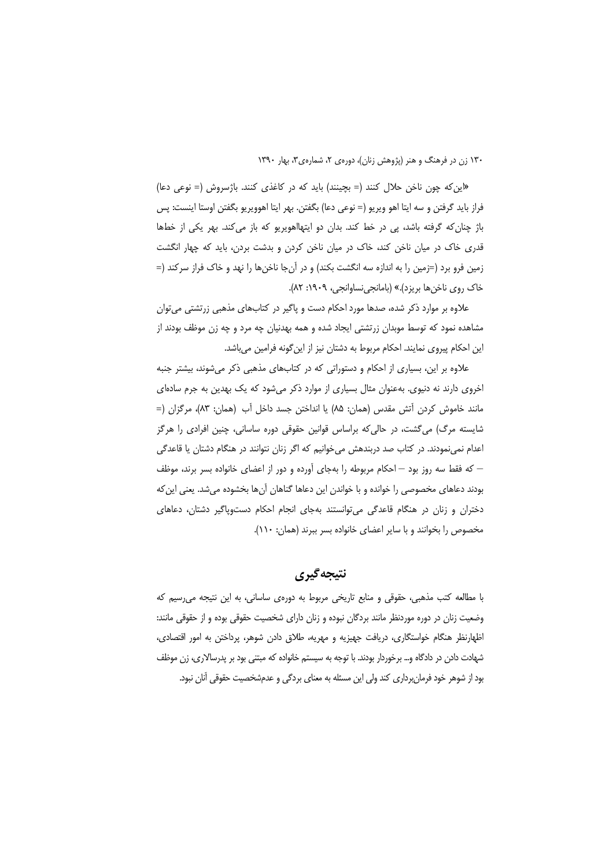«این که چون ناخن حلال کنند (= بچینند) باید که در کاغذی کنند. باژسروش (= نوعی دعا) فراز بايد گرفتن و سه ايتا اهو ويريو (= نوعي دعا) بگفتن. بهر ايتا اهوويريو بگفتن اوستا اينست: پس باژ چنان که گرفته باشد، پی در خط کند. بدان دو ایتهااهویریو که باز می کند. بهر یکی از خطها قدری خاک در میان ناخن کند، خاک در میان ناخن کردن و بدشت بردن، باید که چهار انگشت زمین فرو برد (=زمین را به اندازه سه انگشت بکند) و در آنجا ناخنها را نهد و خاک فراز سرکند (= خاک روی ناخنها بریزد).» (بامانجی نساوانجی، ۱۹۰۹: ۸۲).

علاوه بر موارد ذکر شده، صدها مورد احکام دست و پاگیر در کتابهای مذهبی زرتشتی می¤وان مشاهده نمود که توسط موبدان زرتشتی ایجاد شده و همه بهدنیان چه مرد و چه زن موظف بودند از این احکام پیروی نمایند. احکام مربوط به دشتان نیز از این گونه فرامین میباشد.

علاوه بر این، بسیاری از احکام و دستوراتی که در کتابهای مذهبی ذکر می شوند، بیشتر جنبه اخروی دارند نه دنیوی. بهعنوان مثال بسیاری از موارد ذکر میشود که یک بهدین به جرم سادهای مانند خاموش کردن اَتش مقدس (همان: ۸۵) یا انداختن جسد داخل آب (همان: ۸۳)، مرگزان (= شایسته مرگ) میگشت، در حالی که براساس قوانین حقوقی دوره ساسانی، چنین افرادی را هرگز اعدام نمینمودند. در کتاب صد دربندهش میخوانیم که اگر زنان نتوانند در هنگام دشتان یا قاعدگی — که فقط سه روز بود — احکام مربوطه را بهجای آورده و دور از اعضای خانواده بسر برند، موظف بودند دعاهای مخصوصی را خوانده و با خواندن این دعاها گناهان آنها بخشوده میشد. یعنی این که دختران و زنان در هنگام قاعدگی میتوانستند بهجای انجام احکام دستوپاگیر دشتان، دعاهای مخصوص را بخوانند و با سایر اعضای خانواده بسر ببرند (همان: ١١٠).

نتيجه گيري

با مطالعه کتب مذهبی، حقوقی و منابع تاریخی مربوط به دورهی ساسانی، به این نتیجه می رسیم که وضعیت زنان در دوره موردنظر مانند بردگان نبوده و زنان دارای شخصیت حقوقی بوده و از حقوقی مانند: اظهارنظر هنگام خواستگاری، دریافت جهیزیه و مهریه، طلاق دادن شوهر، پرداختن به امور اقتصادی، شهادت دادن در دادگاه و… برخوردار بودند. با توجه به سیستم خانواده که مبتنی بود بر پدرسالاری، زن موظف بود از شوهر خود فرمان برداری کند ولی این مسئله به معنای بردگی و عدمشخصیت حقوقی آنان نبود.